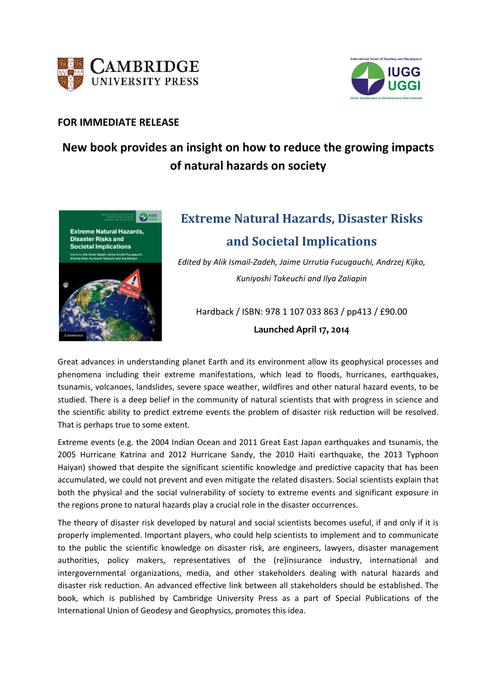



### **FOR IMMEDIATE RELEASE**

## **New book provides an insight on how to reduce the growing impacts of natural hazards on society**



# **Extreme Natural Hazards, Disaster Risks and Societal Implications**

*Edited by Alik Ismail‐Zadeh, Jaime Urrutia Fucugauchi, Andrzej Kijko, Kuniyoshi Takeuchi and Ilya Zaliapin*

Hardback / ISBN: 978 1 107 033 863 / pp413 / £90.00 **Launched April 17, 2014**

Great advances in understanding planet Earth and its environment allow its geophysical processes and phenomena including their extreme manifestations, which lead to floods, hurricanes, earthquakes, tsunamis, volcanoes, landslides, severe space weather, wildfires and other natural hazard events, to be studied. There is a deep belief in the community of natural scientists that with progress in science and the scientific ability to predict extreme events the problem of disaster risk reduction will be resolved. That is perhaps true to some extent.

Extreme events (e.g. the 2004 Indian Ocean and 2011 Great East Japan earthquakes and tsunamis, the 2005 Hurricane Katrina and 2012 Hurricane Sandy, the 2010 Haiti earthquake, the 2013 Typhoon Haiyan) showed that despite the significant scientific knowledge and predictive capacity that has been accumulated, we could not prevent and even mitigate the related disasters. Social scientists explain that both the physical and the social vulnerability of society to extreme events and significant exposure in the regions prone to natural hazards play a crucial role in the disaster occurrences.

The theory of disaster risk developed by natural and social scientists becomes useful, if and only if it is properly implemented. Important players, who could help scientists to implement and to communicate to the public the scientific knowledge on disaster risk, are engineers, lawyers, disaster management authorities, policy makers, representatives of the (re)insurance industry, international and intergovernmental organizations, media, and other stakeholders dealing with natural hazards and disaster risk reduction. An advanced effective link between all stakeholders should be established. The book, which is published by Cambridge University Press as a part of Special Publications of the International Union of Geodesy and Geophysics, promotes this idea.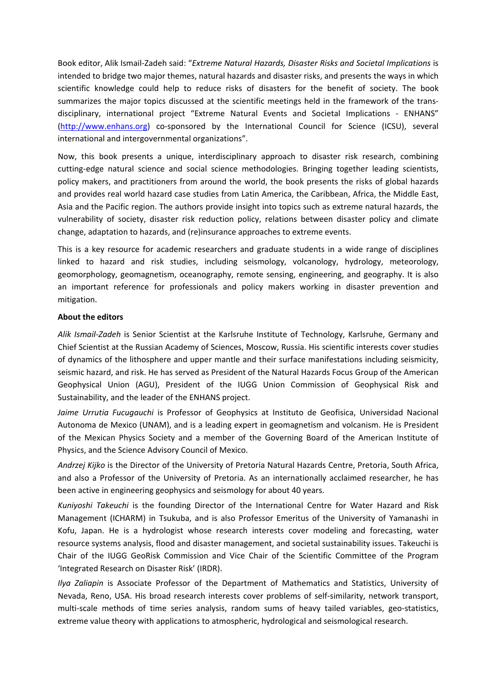Book editor, Alik Ismail‐Zadeh said: "*Extreme Natural Hazards, Disaster Risks and Societal Implications* is intended to bridge two major themes, natural hazards and disaster risks, and presents the ways in which scientific knowledge could help to reduce risks of disasters for the benefit of society. The book summarizes the major topics discussed at the scientific meetings held in the framework of the trans‐ disciplinary, international project "Extreme Natural Events and Societal Implications ‐ ENHANS" (http://www.enhans.org) co‐sponsored by the International Council for Science (ICSU), several international and intergovernmental organizations".

Now, this book presents a unique, interdisciplinary approach to disaster risk research, combining cutting-edge natural science and social science methodologies. Bringing together leading scientists, policy makers, and practitioners from around the world, the book presents the risks of global hazards and provides real world hazard case studies from Latin America, the Caribbean, Africa, the Middle East, Asia and the Pacific region. The authors provide insight into topics such as extreme natural hazards, the vulnerability of society, disaster risk reduction policy, relations between disaster policy and climate change, adaptation to hazards, and (re)insurance approaches to extreme events.

This is a key resource for academic researchers and graduate students in a wide range of disciplines linked to hazard and risk studies, including seismology, volcanology, hydrology, meteorology, geomorphology, geomagnetism, oceanography, remote sensing, engineering, and geography. It is also an important reference for professionals and policy makers working in disaster prevention and mitigation.

#### **About the editors**

*Alik Ismail‐Zadeh* is Senior Scientist at the Karlsruhe Institute of Technology, Karlsruhe, Germany and Chief Scientist at the Russian Academy of Sciences, Moscow, Russia. His scientific interests cover studies of dynamics of the lithosphere and upper mantle and their surface manifestations including seismicity, seismic hazard, and risk. He has served as President of the Natural Hazards Focus Group of the American Geophysical Union (AGU), President of the IUGG Union Commission of Geophysical Risk and Sustainability, and the leader of the ENHANS project.

*Jaime Urrutia Fucugauchi* is Professor of Geophysics at Instituto de Geofisica, Universidad Nacional Autonoma de Mexico (UNAM), and is a leading expert in geomagnetism and volcanism. He is President of the Mexican Physics Society and a member of the Governing Board of the American Institute of Physics, and the Science Advisory Council of Mexico.

*Andrzej Kijko* is the Director of the University of Pretoria Natural Hazards Centre, Pretoria, South Africa, and also a Professor of the University of Pretoria. As an internationally acclaimed researcher, he has been active in engineering geophysics and seismology for about 40 years.

*Kuniyoshi Takeuchi* is the founding Director of the International Centre for Water Hazard and Risk Management (ICHARM) in Tsukuba, and is also Professor Emeritus of the University of Yamanashi in Kofu, Japan. He is a hydrologist whose research interests cover modeling and forecasting, water resource systems analysis, flood and disaster management, and societal sustainability issues. Takeuchi is Chair of the IUGG GeoRisk Commission and Vice Chair of the Scientific Committee of the Program 'Integrated Research on Disaster Risk' (IRDR).

*Ilya Zaliapin* is Associate Professor of the Department of Mathematics and Statistics, University of Nevada, Reno, USA. His broad research interests cover problems of self‐similarity, network transport, multi-scale methods of time series analysis, random sums of heavy tailed variables, geo-statistics, extreme value theory with applications to atmospheric, hydrological and seismological research.